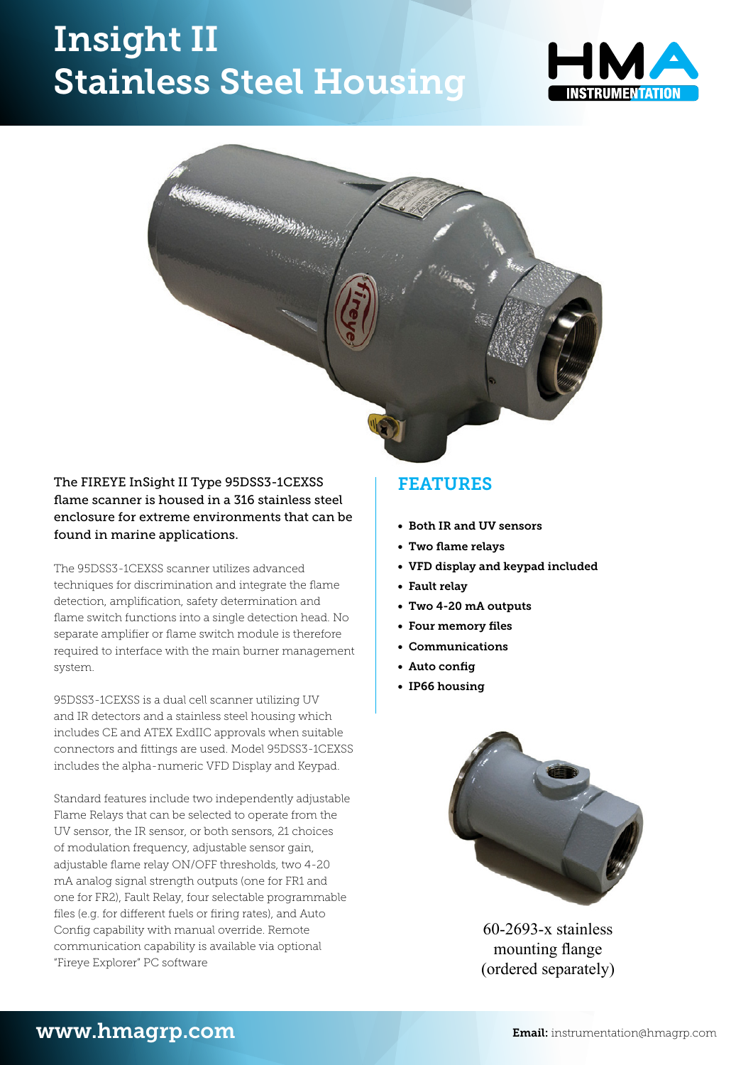# Insight II Stainless Steel Housing **Stainless Steel Hous**





### The FIREYE InSight II Type 95DSS3-1CEXSS flame scanner is housed in a 316 stainless steel enclosure for extreme environments that can be found in marine applications.

The 95DSS3-1CEXSS scanner utilizes advanced techniques for discrimination and integrate the flame detection, amplification, safety determination and flame switch functions into a single detection head. No  $\overline{\phantom{a}}$   $\overline{\phantom{a}}$   $\overline{\phantom{a}}$   $\overline{\phantom{a}}$   $\overline{\phantom{a}}$   $\overline{\phantom{a}}$   $\overline{\phantom{a}}$   $\overline{\phantom{a}}$   $\overline{\phantom{a}}$   $\overline{\phantom{a}}$   $\overline{\phantom{a}}$   $\overline{\phantom{a}}$   $\overline{\phantom{a}}$   $\overline{\phantom{a$ separate amplifier or flame switch module is therefore required to interface with the main burner management system. and integrate the flame detection, and flame detection, and flame determination, safety determination and flame<br>The flame determination and flame determination and flame determination and flame determination and flame dete

95DSS3-1CEXSS is a dual cell scanner utilizing UV and IR detectors and a stainless steel housing which  $\frac{1}{1-\frac{1}{1-\frac{1}{1-\frac{1}{1-\frac{1}{1-\frac{1}{1-\frac{1}{1-\frac{1}{1-\frac{1}{1-\frac{1}{1-\frac{1}{1-\frac{1}{1-\frac{1}{1-\frac{1}{1-\frac{1}{1-\frac{1}{1-\frac{1}{1-\frac{1}{1-\frac{1}{1-\frac{1}{1-\frac{1}{1-\frac{1}{1-\frac{1}{1-\frac{1}{1-\frac{1}{1-\frac{1}{1-\frac{1}{1-\frac{1}{1$ includes CE and ATEX ExdIIC approvals when suitable connectors and fittings are used. Model 95DSS3-1CEXSS includes the alpha-numeric VFD Display and Keypad.

Standard features include two independently adjustable Flame Relays that can be selected to operate from the UV sensor, the IR sensor, or both sensors, 21 choices of modulation frequency, adjustable sensor gain, adjustable flame relay ON/OFF thresholds, two 4-20 mA analog signal strength outputs (one for FR1 and one for FR2), Fault Relay, four selectable programmable one for FR2), Fault Relay, four selectable programmable<br>files (e.g. for different fuels or firing rates), and Auto Config capability with manual override. Remote communication capability is available via optional **community includes includes the cell of the State of ATEX Explorer**<br>"Fireve Explorer" PC software "Fireye Explorer" PC software

suitable connectors and fittings are used. Model 95DSS3-1CEXSS includes the

### FEATURES **• foUR memoRy fIles**.

- • Both IR and UV sensors **• commUnIcatIons.**
- • Two flame relays
- • VFD display and keypad included **• aUto confIg**.
- • Fault relay
- • Two 4-20 mA outputs **• Ip66 hoUsIng.**
- • Four memory files
- • Communications
- • Auto config
- • IP66 housing



60-2693-x stainless mounting flange (ordered separately)